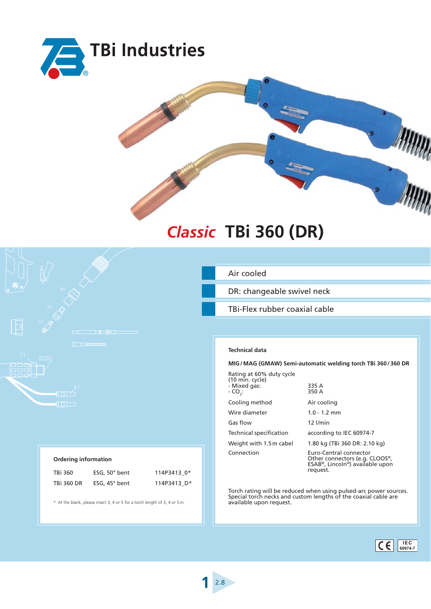



## **TBi 360 (DR)** *Classic*



## **Ordering information**

| TBi 360    | ESG, $50^\circ$ bent | 114P3413 0* |
|------------|----------------------|-------------|
| TBi 360 DR | ESG, 45° bent        | 114P3413 D* |

\* At the blank, please insert 3, 4 or 5 for a torch length of 3, 4 or 5 m.

Air cooled

DR: changeable swivel neck

TBi-Flex rubber coaxial cable

## **Technical data**

**MIG / MAG (GMAW) Semi-automatic welding torch TBi 360 / 360 DR**

| Rating at 60% duty cycle<br>(10 min. cycle)<br>- Mixed gas:<br>- CO.: | 335 A<br>350 A                                                                                          |  |  |  |
|-----------------------------------------------------------------------|---------------------------------------------------------------------------------------------------------|--|--|--|
| Cooling method                                                        | Air cooling                                                                                             |  |  |  |
| Wire diameter                                                         | $1.0 - 1.2$ mm                                                                                          |  |  |  |
| Gas flow                                                              | $12$ $l/min$                                                                                            |  |  |  |
| Technical specification                                               | according to IEC 60974-7                                                                                |  |  |  |
| Weight with 1.5 m cabel                                               | 1.80 kg (TBi 360 DR: 2.10 kg)                                                                           |  |  |  |
| Connection                                                            | Euro-Central connector<br>Other connectors (e.g. CLOOS®,<br>ESAB®, Lincoln®) available upon<br>request. |  |  |  |

Torch rating will be reduced when using pulsed-arc power sources. Special torch necks and custom lengths of the coaxial cable are available upon request.